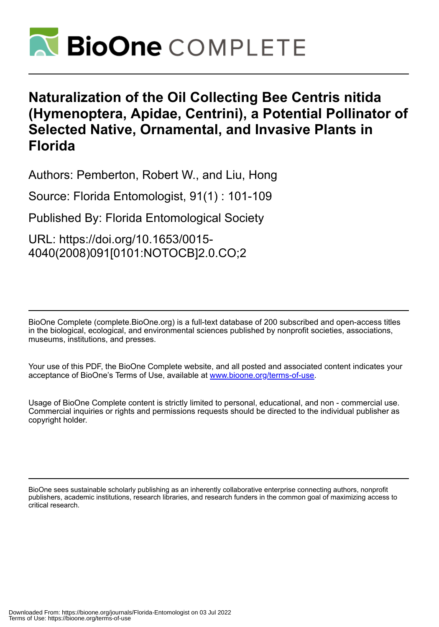

# **Naturalization of the Oil Collecting Bee Centris nitida (Hymenoptera, Apidae, Centrini), a Potential Pollinator of Selected Native, Ornamental, and Invasive Plants in Florida**

Authors: Pemberton, Robert W., and Liu, Hong

Source: Florida Entomologist, 91(1) : 101-109

Published By: Florida Entomological Society

URL: https://doi.org/10.1653/0015- 4040(2008)091[0101:NOTOCB]2.0.CO;2

BioOne Complete (complete.BioOne.org) is a full-text database of 200 subscribed and open-access titles in the biological, ecological, and environmental sciences published by nonprofit societies, associations, museums, institutions, and presses.

Your use of this PDF, the BioOne Complete website, and all posted and associated content indicates your acceptance of BioOne's Terms of Use, available at www.bioone.org/terms-of-use.

Usage of BioOne Complete content is strictly limited to personal, educational, and non - commercial use. Commercial inquiries or rights and permissions requests should be directed to the individual publisher as copyright holder.

BioOne sees sustainable scholarly publishing as an inherently collaborative enterprise connecting authors, nonprofit publishers, academic institutions, research libraries, and research funders in the common goal of maximizing access to critical research.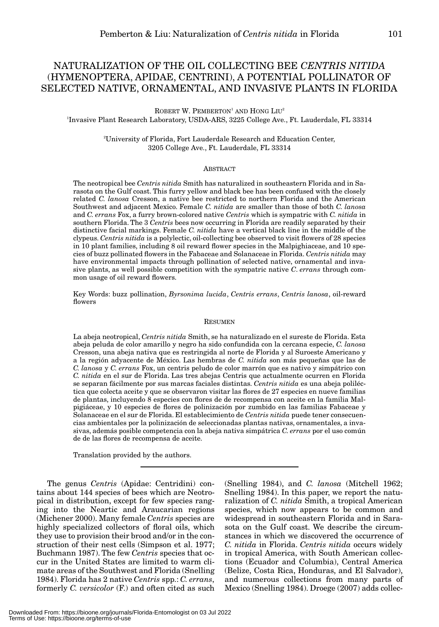# NATURALIZATION OF THE OIL COLLECTING BEE *CENTRIS NITIDA* (HYMENOPTERA, APIDAE, CENTRINI), A POTENTIAL POLLINATOR OF SELECTED NATIVE, ORNAMENTAL, AND INVASIVE PLANTS IN FLORIDA

ROBERT W. PEMBERTON<sup>1</sup> AND HONG  $LU^{2}$ 1 Invasive Plant Research Laboratory, USDA-ARS, 3225 College Ave., Ft. Lauderdale, FL 33314

> 2 University of Florida, Fort Lauderdale Research and Education Center, 3205 College Ave., Ft. Lauderdale, FL 33314

#### **ABSTRACT**

The neotropical bee *Centris nitida* Smith has naturalized in southeastern Florida and in Sarasota on the Gulf coast. This furry yellow and black bee has been confused with the closely related *C. lanosa* Cresson, a native bee restricted to northern Florida and the American Southwest and adjacent Mexico. Female *C. nitida* are smaller than those of both *C. lanosa* and *C. errans* Fox, a furry brown-colored native *Centris* which is sympatric with *C. nitida* in southern Florida. The 3 *Centris* bees now occurring in Florida are readily separated by their distinctive facial markings. Female *C. nitida* have a vertical black line in the middle of the clypeus. *Centris nitida* is a polylectic, oil-collecting bee observed to visit flowers of 28 species in 10 plant families, including 8 oil reward flower species in the Malpighiaceae, and 10 species of buzz pollinated flowers in the Fabaceae and Solanaceae in Florida. *Centris nitida* may have environmental impacts through pollination of selected native, ornamental and invasive plants, as well possible competition with the sympatric native *C*. *errans* through common usage of oil reward flowers.

Key Words: buzz pollination, *Byrsonima lucida*, *Centris errans*, *Centris lanosa*, oil-reward flowers

#### **RESUMEN**

La abeja neotropical, *Centris nitida* Smith, se ha naturalizado en el sureste de Florida. Esta abeja peluda de color amarillo y negro ha sido confundida con la cercana especie, *C. lanosa* Cresson, una abeja nativa que es restringida al norte de Florida y al Suroeste Americano y a la región adyacente de México. Las hembras de *C. nitida* son más pequeñas que las de *C. lanosa* y *C. errans* Fox, un centris peludo de color marrón que es nativo y simpátrico con *C. nitida* en el sur de Florida. Las tres abejas Centris que actualmente ocurren en Florida se separan fácilmente por sus marcas faciales distintas. *Centris nitida* es una abeja poliléctica que colecta aceite y que se observaron visitar las flores de 27 especies en nueve familias de plantas, incluyendo 8 especies con flores de de recompensa con aceite en la familia Malpigiáceae, y 10 especies de flores de polinización por zumbido en las familias Fabaceae y Solanaceae en el sur de Florida. El establecimiento de *Centris nitida* puede tener consecuencias ambientales por la polinización de seleccionadas plantas nativas, ornamentales, a invasivas, además posible competencia con la abeja nativa simpátrica *C. errans* por el uso común de de las flores de recompensa de aceite.

Translation provided by the authors.

The genus *Centris* (Apidae: Centridini) contains about 144 species of bees which are Neotropical in distribution, except for few species ranging into the Neartic and Araucarian regions (Michener 2000). Many female *Centris* species are highly specialized collectors of floral oils, which they use to provision their brood and/or in the construction of their nest cells (Simpson et al. 1977; Buchmann 1987). The few *Centris* species that occur in the United States are limited to warm climate areas of the Southwest and Florida (Snelling 1984). Florida has 2 native *Centris* spp.: *C. errans*, formerly *C. versicolor* (F.) and often cited as such

(Snelling 1984), and *C. lanosa* (Mitchell 1962; Snelling 1984). In this paper, we report the naturalization of *C. nitida* Smith, a tropical American species, which now appears to be common and widespread in southeastern Florida and in Sarasota on the Gulf coast. We describe the circumstances in which we discovered the occurrence of *C. nitida* in Florida. *Centris nitida* occurs widely in tropical America, with South American collections (Ecuador and Columbia), Central America (Belize, Costa Rica, Honduras, and El Salvador), and numerous collections from many parts of Mexico (Snelling 1984). Droege (2007) adds collec-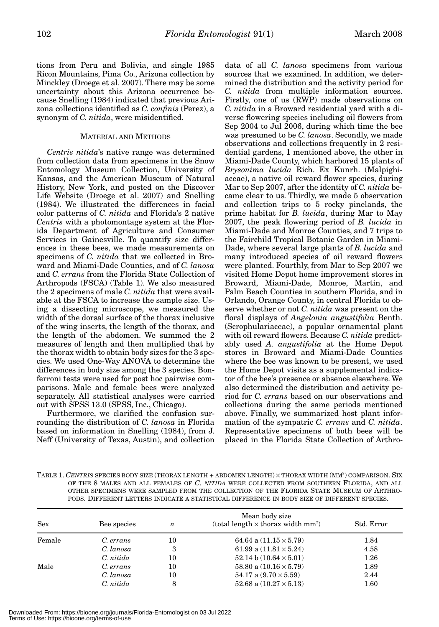tions from Peru and Bolivia, and single 1985 Ricon Mountains, Pima Co., Arizona collection by Minckley (Droege et al. 2007). There may be some uncertainty about this Arizona occurrence because Snelling (1984) indicated that previous Arizona collections identified as *C. confinis* (Perez), a synonym of *C. nitida*, were misidentified.

#### MATERIAL AND METHODS

*Centris nitida*'s native range was determined from collection data from specimens in the Snow Entomology Museum Collection, University of Kansas, and the American Museum of Natural History, New York, and posted on the Discover Life Website (Droege et al. 2007) and Snelling (1984). We illustrated the differences in facial color patterns of *C. nitida* and Florida's 2 native *Centris* with a photomontage system at the Florida Department of Agriculture and Consumer Services in Gainesville. To quantify size differences in these bees, we made measurements on specimens of *C. nitida* that we collected in Broward and Miami-Dade Counties, and of *C. lanosa* and *C. errans* from the Florida State Collection of Arthropods (FSCA) (Table 1). We also measured the 2 specimens of male *C. nitida* that were available at the FSCA to increase the sample size. Using a dissecting microscope, we measured the width of the dorsal surface of the thorax inclusive of the wing inserts, the length of the thorax, and the length of the abdomen. We summed the 2 measures of length and then multiplied that by the thorax width to obtain body sizes for the 3 species. We used One-Way ANOVA to determine the differences in body size among the 3 species. Bonferroni tests were used for post hoc pairwise comparisons. Male and female bees were analyzed separately. All statistical analyses were carried out with SPSS 13.0 (SPSS, Inc., Chicago).

Furthermore, we clarified the confusion surrounding the distribution of *C. lanosa* in Florida based on information in Snelling (1984), from J. Neff (University of Texas, Austin), and collection

data of all *C. lanosa* specimens from various sources that we examined. In addition, we determined the distribution and the activity period for *C. nitida* from multiple information sources. Firstly, one of us (RWP) made observations on *C. nitida* in a Broward residential yard with a diverse flowering species including oil flowers from Sep 2004 to Jul 2006, during which time the bee was presumed to be *C. lanosa*. Secondly, we made observations and collections frequently in 2 residential gardens, 1 mentioned above, the other in Miami-Dade County, which harbored 15 plants of *Brysonima lucida* Rich. Ex Kunrh. (Malpighiaceae), a native oil reward flower species, during Mar to Sep 2007, after the identity of *C. nitida* became clear to us. Thirdly, we made 5 observation and collection trips to 5 rocky pinelands, the prime habitat for *B. lucida*, during Mar to May 2007, the peak flowering period of *B. lucida* in Miami-Dade and Monroe Counties, and 7 trips to the Fairchild Tropical Botanic Garden in Miami-Dade, where several large plants of *B. lucida* and many introduced species of oil reward flowers were planted. Fourthly, from Mar to Sep 2007 we visited Home Depot home improvement stores in Broward, Miami-Dade, Monroe, Martin, and Palm Beach Counties in southern Florida, and in Orlando, Orange County, in central Florida to observe whether or not *C. nitida* was present on the floral displays of *Angelonia angustifolia* Benth. (Scrophulariaceae), a popular ornamental plant with oil reward flowers. Because *C. nitida* predictably used *A. angustifolia* at the Home Depot stores in Broward and Miami-Dade Counties where the bee was known to be present, we used the Home Depot visits as a supplemental indicator of the bee's presence or absence elsewhere. We also determined the distribution and activity period for *C. errans* based on our observations and collections during the same periods mentioned above. Finally, we summarized host plant information of the sympatric *C. errans* and *C. nitida*. Representative specimens of both bees will be placed in the Florida State Collection of Arthro-

TABLE 1. *CENTRIS* SPECIES BODY SIZE (THORAX LENGTH + ABDOMEN LENGTH) × THORAX WIDTH (MM2 ) COMPARISON. SIX OF THE 8 MALES AND ALL FEMALES OF *C. NITIDA* WERE COLLECTED FROM SOUTHERN FLORIDA, AND ALL OTHER SPECIMENS WERE SAMPLED FROM THE COLLECTION OF THE FLORIDA STATE MUSEUM OF ARTHRO-PODS. DIFFERENT LETTERS INDICATE A STATISTICAL DIFFERENCE IN BODY SIZE OF DIFFERENT SPECIES.

| <b>Sex</b> | Bee species | $\boldsymbol{n}$ | Mean body size<br>(total length $\times$ thorax width mm <sup>2</sup> ) | Std. Error |
|------------|-------------|------------------|-------------------------------------------------------------------------|------------|
| Female     | C. errans   | 10               | 64.64 a $(11.15 \times 5.79)$                                           | 1.84       |
|            | C. lanosa   | 3                | 61.99 a $(11.81 \times 5.24)$                                           | 4.58       |
|            | C. nitida   | 10               | 52.14 b $(10.64 \times 5.01)$                                           | 1.26       |
| Male       | C. errans   | 10               | 58.80 a $(10.16 \times 5.79)$                                           | 1.89       |
|            | C. lanosa   | 10               | 54.17 a $(9.70 \times 5.59)$                                            | 2.44       |
|            | C. nitida   | 8                | 52.68 a $(10.27 \times 5.13)$                                           | 1.60       |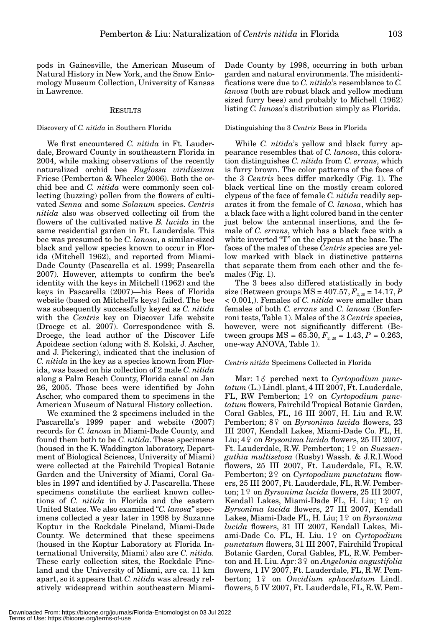pods in Gainesville, the American Museum of Natural History in New York, and the Snow Entomology Museum Collection, University of Kansas in Lawrence.

#### **RESULTS**

#### Discovery of *C. nitida* in Southern Florida

We first encountered *C. nitida* in Ft. Lauderdale, Broward County in southeastern Florida in 2004, while making observations of the recently naturalized orchid bee *Euglossa viridissima* Friese (Pemberton & Wheeler 2006). Both the orchid bee and *C. nitida* were commonly seen collecting (buzzing) pollen from the flowers of cultivated *Senna* and some *Solanum* species. *Centris nitida* also was observed collecting oil from the flowers of the cultivated native *B. lucida* in the same residential garden in Ft. Lauderdale. This bee was presumed to be *C. lanosa*, a similar-sized black and yellow species known to occur in Florida (Mitchell 1962), and reported from Miami-Dade County (Pascarella et al. 1999; Pascarella 2007). However, attempts to confirm the bee's identity with the keys in Mitchell (1962) and the keys in Pascarella (2007)—his Bees of Florida website (based on Mitchell's keys) failed. The bee was subsequently successfully keyed as *C. nitida* with the *Centris* key on Discover Life website (Droege et al. 2007). Correspondence with S. Droege, the lead author of the Discover Life Apoideae section (along with S. Kolski, J. Ascher, and J. Pickering), indicated that the inclusion of *C. nitida* in the key as a species known from Florida, was based on his collection of 2 male *C. nitida* along a Palm Beach County, Florida canal on Jan 26, 2005. Those bees were identified by John Ascher, who compared them to specimens in the American Museum of Natural History collection.

We examined the 2 specimens included in the Pascarella's 1999 paper and website (2007) records for *C. lanosa* in Miami-Dade County, and found them both to be *C. nitida*. These specimens (housed in the K. Waddington laboratory, Department of Biological Sciences, University of Miami) were collected at the Fairchild Tropical Botanic Garden and the University of Miami, Coral Gables in 1997 and identified by J. Pascarella. These specimens constitute the earliest known collections of *C. nitida* in Florida and the eastern United States. We also examined "*C. lanosa*" specimens collected a year later in 1998 by Suzanne Koptur in the Rockdale Pineland, Miami-Dade County. We determined that these specimens (housed in the Koptur Laboratory at Florida International University, Miami) also are *C. nitida.* These early collection sites, the Rockdale Pineland and the University of Miami, are ca. 11 km apart, so it appears that *C. nitida* was already relatively widespread within southeastern MiamiDade County by 1998, occurring in both urban garden and natural environments. The misidentifications were due to *C. nitida*'s resemblance to *C. lanosa* (both are robust black and yellow medium sized furry bees) and probably to Michell (1962) listing *C. lanosa*'s distribution simply as Florida.

## Distinguishing the 3 *Centris* Bees in Florida

While *C. nitida*'s yellow and black furry appearance resembles that of *C. lanosa*, this coloration distinguishes *C. nitida* from *C. errans*, which is furry brown. The color patterns of the faces of the 3 *Centris* bees differ markedly (Fig. 1). The black vertical line on the mostly cream colored clypeus of the face of female *C. nitida* readily separates it from the female of *C. lanosa*, which has a black face with a light colored band in the center just below the antennal insertions, and the female of *C. errans*, which has a black face with a white inverted "T" on the clypeus at the base. The faces of the males of these *Centris* species are yellow marked with black in distinctive patterns that separate them from each other and the females (Fig. 1).

The 3 bees also differed statistically in body size (Between groups  $MS = 407.57, F_{2,20} = 14.17, P$ < 0.001,). Females of *C. nitida* were smaller than females of both *C. errans* and *C. lanosa* (Bonferroni tests, Table 1). Males of the 3 *Centris* species, however, were not significantly different (Between groups  $MS = 65.30, F_{2, 20} = 1.43, P = 0.263,$ one-way ANOVA, Table 1).

#### *Centris nitida* Specimens Collected in Florida

Mar: 1 $\delta$  perched next to *Cyrtopodium punctatum* (L.) Lindl. plant, 4 III 2007, Ft. Lauderdale, FL, RW Pemberton; 1<sup>2</sup> on *Cyrtopodium punctatum* flowers, Fairchild Tropical Botanic Garden, Coral Gables, FL, 16 III 2007, H. Liu and R.W. Pemberton; 8<sup>°</sup> on *Byrsonima lucida* flowers, 23 III 2007, Kendall Lakes, Miami-Dade Co. FL, H. Liu;  $4\frac{\circ}{2}$  on *Brysonima lucida* flowers, 25 III 2007, Ft. Lauderdale, R.W. Pemberton; 1<sup>9</sup> on *Suessenguthia multisetosa* (Rusby) Wassh. & J.R.I.Wood flowers, 25 III 2007, Ft. Lauderdale, FL, R.W. Pemberton; 2<sup>2</sup> on *Cyrtopodium punctatum* flowers, 25 III 2007, Ft. Lauderdale, FL, R.W. Pemberton; 19 on *Byrsonima lucida* flowers, 25 III 2007, Kendall Lakes, Miami-Dade FL, H. Liu; 1º on *Byrsonima lucida* flowers, 27 III 2007, Kendall Lakes, Miami-Dade FL, H. Liu; 1<sup>9</sup> on *Byrsonima lucida* flowers, 31 III 2007, Kendall Lakes, Miami-Dade Co. FL, H. Liu. 1º on Cyrtopodium *punctatum* flowers, 31 III 2007, Fairchild Tropical Botanic Garden, Coral Gables, FL, R.W. Pemberton and H. Liu. Apr: 3<sup>°</sup> on *Angelonia angustifolia* flowers, 1 IV 2007, Ft. Lauderdale, FL, R.W. Pemberton; 1<sup>°</sup> on *Oncidium sphacelatum* Lindl. flowers, 5 IV 2007, Ft. Lauderdale, FL, R.W. Pem-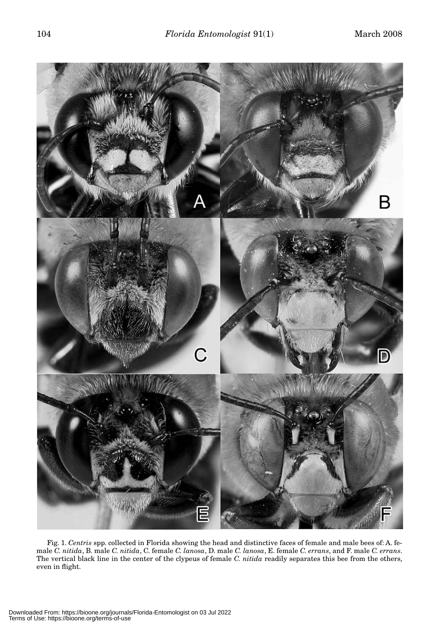

Fig. 1. *Centris* spp. collected in Florida showing the head and distinctive faces of female and male bees of: A. female *C. nitida*, B. male *C. nitida*, C. female *C. lanosa*, D. male *C. lanosa*, E. female *C. errans*, and F. male *C. errans*. The vertical black line in the center of the clypeus of female *C. nitida* readily separates this bee from the others, even in flight.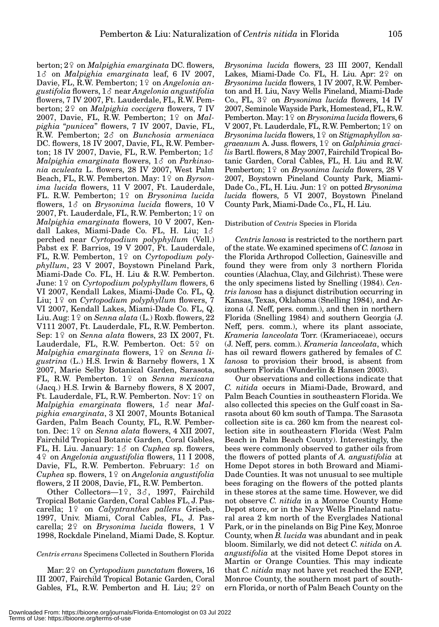berton; 2♀ on *Malpighia emarginata* DC. flowers, 1 $\delta$  on *Malpighia emarginata* leaf, 6 IV 2007, Davie, FL, R.W. Pemberton; 1<sup>o</sup> on *Angelonia an* $gustifolia$  flowers,  $1\delta$  near *Angelonia angustifolia* flowers, 7 IV 2007, Ft. Lauderdale, FL, R.W. Pemberton; 2<sup>°</sup> on *Malpighia coccigera* flowers, 7 IV 2007, Davie, FL, R.W. Pemberton; 1º on *Malpighia* "*punicea*" flowers, 7 IV 2007, Davie, FL, R.W. Pemberton;  $2\delta$  on *Bunchosia armeniaca* DC. flowers, 18 IV 2007, Davie, FL, R.W. Pemberton; 18 IV 2007, Davie, FL, R.W. Pemberton;  $1\delta$ *Malpighia emarginata* flowers,  $1\delta$  on *Parkinsonia aculeata* L. flowers, 28 IV 2007, West Palm Beach, FL, R.W. Pemberton. May: 1<sup>2</sup> on *Byrsonima lucida* flowers, 11 V 2007, Ft. Lauderdale, FL. R.W. Pemberton; 1<sup>2</sup> on *Brysonima lucida* flowers,  $1\delta$  on *Brysonima lucida* flowers, 10 V  $2007$ , Ft. Lauderdale, FL, R.W. Pemberton; 1♀ on *Malpighia emarginata* flowers, 10 V 2007, Kendall Lakes, Miami-Dade Co. FL, H. Liu; 1 perched near *Cyrtopodium polyphyllum* (Vell.) Pabst ex F. Barrios, 19 V 2007, Ft. Lauderdale, FL, R.W. Pemberton, 1<sup>2</sup> on *Cyrtopodium polyphyllum*, 23 V 2007, Boystown Pineland Park, Miami-Dade Co. FL, H. Liu & R.W. Pemberton. June: 1º on *Cyrtopodium polyphyllum* flowers, 6 VI 2007, Kendall Lakes, Miami-Dade Co. FL, Q. Liu; 1º on *Cyrtopodium polyphyllum* flowers, 7 VI 2007, Kendall Lakes, Miami-Dade Co. FL, Q. Liu. Aug: 1- on *Senna alata* (L.) Roxb. flowers, 22 V111 2007, Ft. Lauderdale, FL, R.W. Pemberton. Sep: 19 on *Senna alata* flowers, 23 IX 2007, Ft. Lauderdale, FL, R.W. Pemberton. Oct: 5º on  $\emph{Malpighia emarginata$  flowers, 1<sup>°</sup> on *Senna ligustrina* (L.) H.S. Irwin & Barneby flowers, 1 X 2007, Marie Selby Botanical Garden, Sarasota, FL, R.W. Pemberton. 1<sup>2</sup> on *Senna mexicana* (Jacq.) H.S. Irwin & Barneby flowers, 8 X 2007, Ft. Lauderdale, FL, R.W. Pemberton. Nov: 1♀ on *Malpighia emarginata* flowers, 13 near *Malpighia emarginata*, 3 XI 2007, Mounts Botanical Garden, Palm Beach County, FL, R.W. Pemberton. Dec: 1<sup>2</sup> on *Senna alata* flowers, 4 XII 2007, Fairchild Tropical Botanic Garden, Coral Gables, FL, H. Liu. January:  $1\delta$  on *Cuphea* sp. flowers, 4- on *Angelonia angustifolia* flowers, 11 I 2008, Davie, FL, R.W. Pemberton. February:  $1\delta$  on  $Cuphea$  sp. flowers,  $1^\circ$  on *Angelonia angustifolia* flowers, 2 II 2008, Davie, FL, R.W. Pemberton.

Other Collectors- $-1$ <sup>o</sup>,  $3$  $\delta$ , 1997, Fairchild Tropical Botanic Garden, Coral Cables FL, J. Pascarella; 1<sup>o</sup> on *Calyptranthes pallens* Griseb., 1997, Univ. Miami, Coral Cables, FL, J. Pascarella; 2<sup>°</sup> on *Brysonima lucida* flowers, 1 V 1998, Rockdale Pineland, Miami Dade, S. Koptur.

# *Centris errans* Specimens Collected in Southern Florida

Mar: 2<sup>2</sup> on *Cyrtopodium punctatum* flowers, 16 III 2007, Fairchild Tropical Botanic Garden, Coral Gables, FL, R.W. Pemberton and H. Liu; 2<sup>o</sup> on *Brysonima lucida* flowers, 23 III 2007, Kendall Lakes, Miami-Dade Co. FL, H. Liu. Apr: 2º on *Brysonima lucida* flowers, 1 IV 2007, R.W. Pemberton and H. Liu, Navy Wells Pineland, Miami-Dade Co., FL, 3<sup>o</sup> on *Brysonima lucida* flowers, 14 IV 2007, Seminole Wayside Park, Homestead, FL, R.W. Pemberton. May: 1♀ on *Brysonima lucida* flowers, 6 V 2007, Ft. Lauderdale, FL, R.W. Pemberton;  $1\frac{\circ}{}$  on *Brysonima lucida f*lowers, 1♀ on *Stigmaphyllon sa*g*raeanum* A. Juss. flowers, 1♀ on *Galphimia gracilis* Bartl. flowers, 8 May 2007, Fairchild Tropical Botanic Garden, Coral Cables, FL, H. Liu and R.W. Pemberton; 1<sup>2</sup> on *Brysonima lucida* flowers, 28 V 2007, Boystown Pineland County Park, Miami-Dade Co., FL, H. Liu. Jun: 1<sup>2</sup> on potted *Brysonima lucida* flowers, 5 VI 2007, Boystown Pineland County Park, Miami-Dade Co., FL, H. Liu.

#### Distribution of *Centris* Species in Florida

*Centris lanosa* is restricted to the northern part of the state. We examined specimens of *C. lanosa* in the Florida Arthropod Collection, Gainesville and found they were from only 3 northern Florida counties (Alachua, Clay, and Gilchrist). These were the only specimens listed by Snelling (1984). *Centris lanosa* has a disjunct distribution occurring in Kansas, Texas, Oklahoma (Snelling 1984), and Arizona (J. Neff, pers. comm.), and then in northern Florida (Snelling 1984) and southern Georgia (J. Neff, pers. comm.), where its plant associate, *Krameria lanceolata* Torr. (Krameriaceae), occurs (J. Neff, pers. comm.). *Krameria lanceolata*, which has oil reward flowers gathered by females of *C. lanosa* to provision their brood, is absent from southern Florida (Wunderlin & Hansen 2003).

Our observations and collections indicate that *C. nitida* occurs in Miami-Dade, Broward, and Palm Beach Counties in southeastern Florida. We also collected this species on the Gulf coast in Sarasota about 60 km south of Tampa. The Sarasota collection site is ca. 260 km from the nearest collection site in southeastern Florida (West Palm Beach in Palm Beach County). Interestingly, the bees were commonly observed to gather oils from the flowers of potted plants of *A. angustifolia* at Home Depot stores in both Broward and Miami-Dade Counties. It was not unusual to see multiple bees foraging on the flowers of the potted plants in these stores at the same time. However, we did not observe *C. nitida* in a Monroe County Home Depot store, or in the Navy Wells Pineland natural area 2 km north of the Everglades National Park, or in the pinelands on Big Pine Key, Monroe County, when *B. lucida* was abundant and in peak bloom. Similarly, we did not detect *C. nitida* on *A. angustifolia* at the visited Home Depot stores in Martin or Orange Counties. This may indicate that *C. nitida* may not have yet reached the ENP, Monroe County, the southern most part of southern Florida, or north of Palm Beach County on the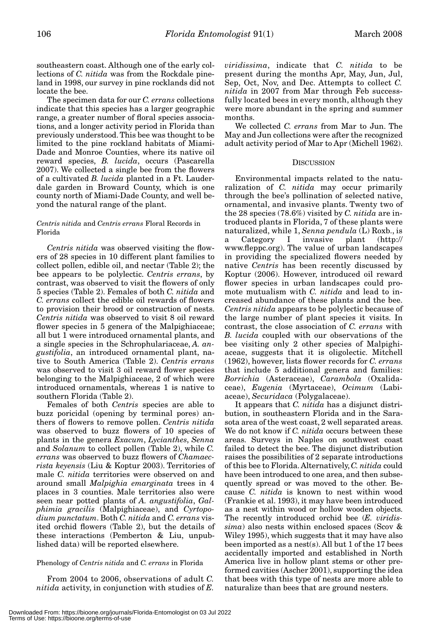southeastern coast. Although one of the early collections of *C. nitida* was from the Rockdale pineland in 1998, our survey in pine rocklands did not locate the bee.

The specimen data for our *C. errans* collections indicate that this species has a larger geographic range, a greater number of floral species associations, and a longer activity period in Florida than previously understood. This bee was thought to be limited to the pine rockland habitats of Miami-Dade and Monroe Counties, where its native oil reward species, *B. lucida*, occurs (Pascarella 2007). We collected a single bee from the flowers of a cultivated *B. lucida* planted in a Ft. Lauderdale garden in Broward County, which is one county north of Miami-Dade County, and well beyond the natural range of the plant.

## *Centris nitida* and *Centris errans* Floral Records in Florida

*Centris nitida* was observed visiting the flowers of 28 species in 10 different plant families to collect pollen, edible oil, and nectar (Table 2); the bee appears to be polylectic. *Centris errans*, by contrast, was observed to visit the flowers of only 5 species (Table 2). Females of both *C. nitida* and *C. errans* collect the edible oil rewards of flowers to provision their brood or construction of nests. *Centris nitida* was observed to visit 8 oil reward flower species in 5 genera of the Malpighiaceae; all but 1 were introduced ornamental plants, and a single species in the Schrophulariaceae, *A. angustifolia*, an introduced ornamental plant, native to South America (Table 2). *Centris errans* was observed to visit 3 oil reward flower species belonging to the Malpighiaceae, 2 of which were introduced ornamentals, whereas 1 is native to southern Florida (Table 2).

Females of both *Centris* species are able to buzz poricidal (opening by terminal pores) anthers of flowers to remove pollen. *Centris nitida* was observed to buzz flowers of 10 species of plants in the genera *Exacum*, *Lycianthes*, *Senna* and *Solanum* to collect pollen (Table 2), while *C. errans* was observed to buzz flowers of *Chamaecrista keyensis* (Liu & Koptur 2003). Territories of male *C. nitida* territories were observed on and around small *Malpighia emarginata* trees in 4 places in 3 counties. Male territories also were seen near potted plants of *A. angustifolia*, *Galphimia gracilis* (Malpighiaceae), and *Cyrtopodium punctatum*. Both *C. nitida* and *C. errans* visited orchid flowers (Table 2), but the details of these interactions (Pemberton & Liu, unpublished data) will be reported elsewhere.

# Phenology of *Centris nitida* and *C. errans* in Florida

From 2004 to 2006, observations of adult *C. nitida* activity, in conjunction with studies of *E.* *viridissima*, indicate that *C. nitida* to be present during the months Apr, May, Jun, Jul, Sep, Oct, Nov, and Dec. Attempts to collect *C. nitida* in 2007 from Mar through Feb successfully located bees in every month, although they were more abundant in the spring and summer months.

We collected *C. errans* from Mar to Jun. The May and Jun collections were after the recognized adult activity period of Mar to Apr (Michell 1962).

# **DISCUSSION**

Environmental impacts related to the naturalization of *C. nitida* may occur primarily through the bee's pollination of selected native, ornamental, and invasive plants. Twenty two of the 28 species (78.6%) visited by *C. nitida* are introduced plants in Florida, 7 of these plants were naturalized, while 1, *Senna pendula* (L) Roxb., is a Category I invasive plant (http:// www.fleppc.org). The value of urban landscapes in providing the specialized flowers needed by native *Centris* has been recently discussed by Koptur (2006). However, introduced oil reward flower species in urban landscapes could promote mutualism with *C. nitida* and lead to increased abundance of these plants and the bee. *Centris nitida* appears to be polylectic because of the large number of plant species it visits. In contrast, the close association of *C. errans* with *B. lucida* coupled with our observations of the bee visiting only 2 other species of Malpighiaceae, suggests that it is oligolectic. Mitchell (1962), however, lists flower records for *C. errans* that include 5 additional genera and families: *Borrichia* (Asteraceae), *Carambola* (Oxalidaceae), *Eugenia* (Myrtaceae), *Ocimum* (Labiaceae), *Securidaca* (Polygalaceae).

It appears that *C. nitida* has a disjunct distribution, in southeastern Florida and in the Sarasota area of the west coast, 2 well separated areas. We do not know if *C. nitida* occurs between these areas. Surveys in Naples on southwest coast failed to detect the bee. The disjunct distribution raises the possibilities of 2 separate introductions of this bee to Florida. Alternatively, *C. nitida* could have been introduced to one area, and then subsequently spread or was moved to the other. Because *C. nitida* is known to nest within wood (Frankie et al. 1993), it may have been introduced as a nest within wood or hollow wooden objects. The recently introduced orchid bee (*E. viridissima*) also nests within enclosed spaces (Scov & Wiley 1995), which suggests that it may have also been imported as a nest(s). All but 1 of the 17 bees accidentally imported and established in North America live in hollow plant stems or other preformed cavities (Ascher 2001), supporting the idea that bees with this type of nests are more able to naturalize than bees that are ground nesters.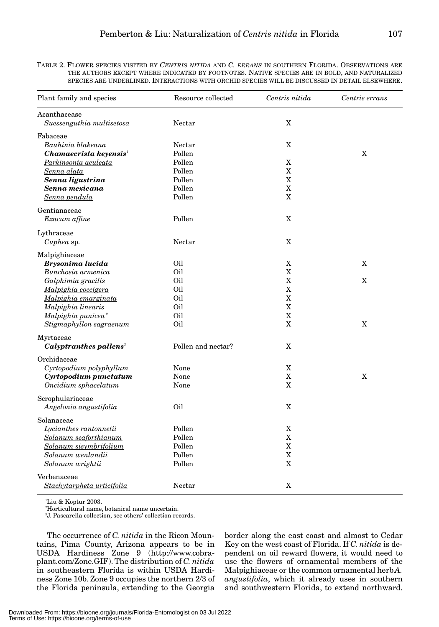TABLE 2. FLOWER SPECIES VISITED BY *CENTRIS NITIDA* AND *C. ERRANS* IN SOUTHERN FLORIDA. OBSERVATIONS ARE THE AUTHORS EXCEPT WHERE INDICATED BY FOOTNOTES. NATIVE SPECIES ARE IN BOLD, AND NATURALIZED SPECIES ARE UNDERLINED. INTERACTIONS WITH ORCHID SPECIES WILL BE DISCUSSED IN DETAIL ELSEWHERE.

| Plant family and species                  | Resource collected | Centris nitida        | Centris errans |
|-------------------------------------------|--------------------|-----------------------|----------------|
| Acanthacease<br>Suessenguthia multisetosa | Nectar             | X                     |                |
| Fabaceae                                  |                    |                       |                |
| Bauhinia blakeana                         | Nectar             | X                     |                |
| Chamaecrista keyensis <sup>1</sup>        | Pollen             |                       | X              |
| Parkinsonia aculeata                      | Pollen             | X                     |                |
| Senna alata                               | Pollen             | $\mathbf X$           |                |
| Senna ligustrina                          | Pollen             | X                     |                |
| Senna mexicana                            | Pollen             | X                     |                |
| Senna pendula                             | Pollen             | X                     |                |
| Gentianaceae                              |                    |                       |                |
| Exacum affine                             | Pollen             | X                     |                |
| Lythraceae                                |                    |                       |                |
| Cuphea sp.                                | Nectar             | X                     |                |
| Malpighiaceae                             |                    |                       |                |
| Brysonima lucida                          | Oil                | X                     | X              |
| Bunchosia armenica                        | Oil                | $\mathbf x$           |                |
| Galphimia gracilis                        | Oil                | $\mathbf X$           | X              |
| Malpighia coccigera                       | Oil                | $\mathbf X$           |                |
| Malpighia emarginata                      | Oil                | $\overline{\text{X}}$ |                |
| Malpighia linearis                        | Oil                | X                     |                |
| Malpighia punicea <sup>2</sup>            | Oil                | $\mathbf X$           |                |
| Stigmaphyllon sagraenum                   | Oil                | X                     | X              |
| Myrtaceae                                 |                    |                       |                |
| Calyptranthes pallens <sup>3</sup>        | Pollen and nectar? | X                     |                |
| Orchidaceae                               |                    |                       |                |
| Cyrtopodium polyphyllum                   | None               | X                     |                |
| Cyrtopodium punctatum                     | None               | $\mathbf X$           | X              |
| Oncidium sphacelatum                      | None               | X                     |                |
| Scrophulariaceae                          |                    |                       |                |
| Angelonia angustifolia                    | Oil                | X                     |                |
| Solanaceae                                |                    |                       |                |
| Lycianthes rantonnetii                    | Pollen             | X                     |                |
| Solanum seaforthianum                     | Pollen             | $\mathbf X$           |                |
| Solanum sisymbrifolium                    | Pollen             | $\overline{\text{X}}$ |                |
| Solanum wenlandii                         | Pollen             | $\mathbf X$           |                |
| Solanum wrightii                          | Pollen             | X                     |                |
| Verbenaceae                               |                    |                       |                |
| Stachytarpheta urticifolia                | Nectar             | X                     |                |

1 Liu & Koptur 2003.

2 Horticultural name, botanical name uncertain.

3 J. Pascarella collection, see others' collection records.

The occurrence of *C. nitida* in the Ricon Mountains, Pima County, Arizona appears to be in USDA Hardiness Zone 9 (http://www.cobraplant.com/Zone.GIF). The distribution of *C. nitida* in southeastern Florida is within USDA Hardiness Zone 10b. Zone 9 occupies the northern 2/3 of the Florida peninsula, extending to the Georgia

border along the east coast and almost to Cedar Key on the west coast of Florida. If *C. nitida* is dependent on oil reward flowers, it would need to use the flowers of ornamental members of the Malpighiaceae or the common ornamental herb *A. angustifolia*, which it already uses in southern and southwestern Florida, to extend northward.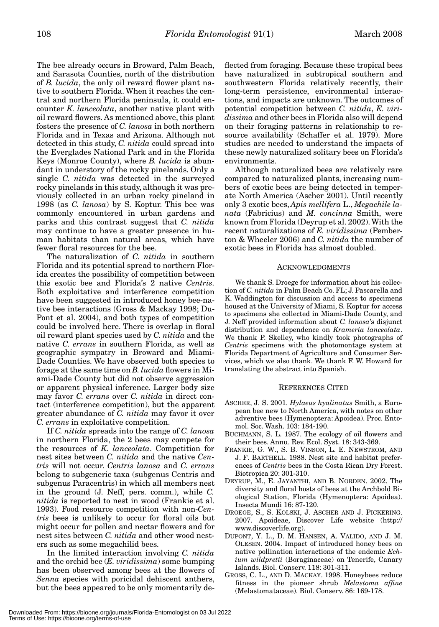The bee already occurs in Broward, Palm Beach, and Sarasota Counties, north of the distribution of *B. lucida*, the only oil reward flower plant native to southern Florida. When it reaches the central and northern Florida peninsula, it could encounter *K. lanceolata*, another native plant with oil reward flowers. As mentioned above, this plant fosters the presence of *C. lanosa* in both northern Florida and in Texas and Arizona. Although not detected in this study, *C. nitida* could spread into the Everglades National Park and in the Florida Keys (Monroe County), where *B. lucida* is abundant in understory of the rocky pinelands. Only a single *C. nitida* was detected in the surveyed rocky pinelands in this study, although it was previously collected in an urban rocky pineland in 1998 (as *C. lanosa*) by S. Koptur. This bee was commonly encountered in urban gardens and parks and this contrast suggest that *C. nitida* may continue to have a greater presence in human habitats than natural areas, which have fewer floral resources for the bee.

The naturalization of *C. nitida* in southern Florida and its potential spread to northern Florida creates the possibility of competition between this exotic bee and Florida's 2 native *Centris*. Both exploitative and interference competition have been suggested in introduced honey bee-native bee interactions (Gross & Mackay 1998; Du-Pont et al. 2004), and both types of competition could be involved here. There is overlap in floral oil reward plant species used by *C. nitida* and the native *C. errans* in southern Florida, as well as geographic sympatry in Broward and Miami-Dade Counties. We have observed both species to forage at the same time on *B. lucida* flowers in Miami-Dade County but did not observe aggression or apparent physical inference. Larger body size may favor *C. errans* over *C. nitida* in direct contact (interference competition), but the apparent greater abundance of *C. nitida* may favor it over *C. errans* in exploitative competition.

If *C. nitida* spreads into the range of *C. lanosa* in northern Florida, the 2 bees may compete for the resources of *K. lanceolata*. Competition for nest sites between *C. nitida* and the native *Centris* will not occur. *Centris lanosa* and *C. errans* belong to subgeneric taxa (subgenus Centris and subgenus Paracentris) in which all members nest in the ground (J. Neff, pers. comm.), while *C. nitida* is reported to nest in wood (Frankie et al. 1993). Food resource competition with non-*Centris* bees is unlikely to occur for floral oils but might occur for pollen and nectar flowers and for nest sites between *C. nitida* and other wood nesters such as some megachilid bees.

In the limited interaction involving *C. nitida* and the orchid bee (*E. viridissima*) some bumping has been observed among bees at the flowers of *Senna* species with poricidal dehiscent anthers, but the bees appeared to be only momentarily deflected from foraging. Because these tropical bees have naturalized in subtropical southern and southwestern Florida relatively recently, their long-term persistence, environmental interactions, and impacts are unknown. The outcomes of potential competition between *C. nitida*, *E. viridissima* and other bees in Florida also will depend on their foraging patterns in relationship to resource availability (Schaffer et al. 1979). More studies are needed to understand the impacts of these newly naturalized solitary bees on Florida's environments.

Although naturalized bees are relatively rare compared to naturalized plants, increasing numbers of exotic bees are being detected in temperate North America (Ascher 2001). Until recently only 3 exotic bees, *Apis mellifera* L., *Megachile lanata* (Fabricius) and *M. concinna* Smith, were known from Florida (Deyrup et al. 2002). With the recent naturalizations of *E. viridissima* (Pemberton & Wheeler 2006) and *C. nitida* the number of exotic bees in Florida has almost doubled.

#### ACKNOWLEDGMENTS

We thank S. Droege for information about his collection of *C. nitida* in Palm Beach Co. FL; J. Pascarella and K. Waddington for discussion and access to specimens housed at the University of Miami, S. Koptur for access to specimens she collected in Miami-Dade County, and J. Neff provided information about *C. lanosa*'s disjunct distribution and dependence on *Krameria lanceolata*. We thank P. Skelley, who kindly took photographs of *Centris* specimens with the photomontage system at Florida Department of Agriculture and Consumer Services, which we also thank. We thank F. W. Howard for translating the abstract into Spanish.

#### REFERENCES CITED

- ASCHER, J. S. 2001. *Hylaeus hyalinatus* Smith, a European bee new to North America, with notes on other adventive bees (Hymenoptera: Apoidea). Proc. Entomol. Soc. Wash. 103: 184-190.
- BUCHMANN, S. L. 1987. The ecology of oil flowers and their bees. Annu. Rev. Ecol. Syst. 18: 343-369.
- FRANKIE, G. W., S. B. VINSON, L. E. NEWSTROM, AND J. F. BARTHELL. 1988. Nest site and habitat preferences of *Centris* bees in the Costa Rican Dry Forest. Biotropica 20: 301-310.
- DEYRUP, M., E. JAYANTHI, AND B. NORDEN. 2002. The diversity and floral hosts of bees at the Archbold Biological Station, Florida (Hymenoptera: Apoidea). Insecta Mundi 16: 87-120.
- DROEGE, S., S. KOLSKI, J. ASCHER AND J. PICKERING. 2007. Apoideae, Discover Life website (http:// www.discoverlife.org).
- DUPONT, Y. L., D. M. HANSEN, A. VALIDO, AND J. M. OLESEN. 2004. Impact of introduced honey bees on native pollination interactions of the endemic *Echium wildpretii* (Boraginaceae) on Tenerife, Canary Islands. Biol. Conserv. 118: 301-311.
- GROSS, C. L., AND D. MACKAY. 1998. Honeybees reduce fitness in the pioneer shrub *Melastoma affine* (Melastomataceae). Biol. Conserv. 86: 169-178.